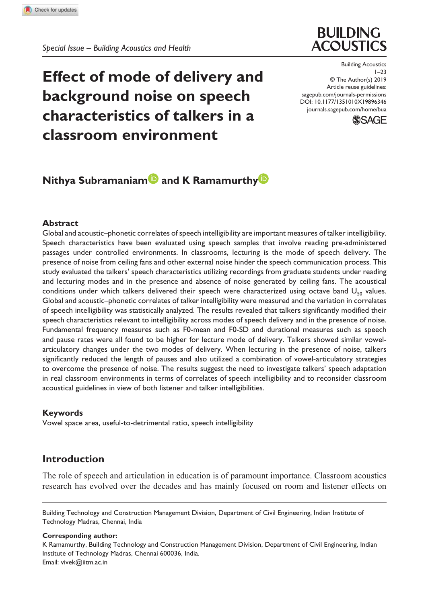

**Effect of mode of delivery and background noise on speech characteristics of talkers in a classroom environment**

DOI: 10.1177/1351010X19896346 Building Acoustics  $1 - 23$ © The Author(s) 2019 Article reuse guidelines: sagepub.com/journals-permissions journals.sagepub.com/home/bua



# **Nithya Subramaniam<sup>D</sup> and K Ramamurthy<sup>D</sup>**

## **Abstract**

Global and acoustic–phonetic correlates of speech intelligibility are important measures of talker intelligibility. Speech characteristics have been evaluated using speech samples that involve reading pre-administered passages under controlled environments. In classrooms, lecturing is the mode of speech delivery. The presence of noise from ceiling fans and other external noise hinder the speech communication process. This study evaluated the talkers' speech characteristics utilizing recordings from graduate students under reading and lecturing modes and in the presence and absence of noise generated by ceiling fans. The acoustical conditions under which talkers delivered their speech were characterized using octave band  $U_{50}$  values. Global and acoustic–phonetic correlates of talker intelligibility were measured and the variation in correlates of speech intelligibility was statistically analyzed. The results revealed that talkers significantly modified their speech characteristics relevant to intelligibility across modes of speech delivery and in the presence of noise. Fundamental frequency measures such as F0-mean and F0-SD and durational measures such as speech and pause rates were all found to be higher for lecture mode of delivery. Talkers showed similar vowelarticulatory changes under the two modes of delivery. When lecturing in the presence of noise, talkers significantly reduced the length of pauses and also utilized a combination of vowel-articulatory strategies to overcome the presence of noise. The results suggest the need to investigate talkers' speech adaptation in real classroom environments in terms of correlates of speech intelligibility and to reconsider classroom acoustical guidelines in view of both listener and talker intelligibilities.

#### **Keywords**

Vowel space area, useful-to-detrimental ratio, speech intelligibility

## **Introduction**

The role of speech and articulation in education is of paramount importance. Classroom acoustics research has evolved over the decades and has mainly focused on room and listener effects on

Building Technology and Construction Management Division, Department of Civil Engineering, Indian Institute of Technology Madras, Chennai, India

#### **Corresponding author:**

K Ramamurthy, Building Technology and Construction Management Division, Department of Civil Engineering, Indian Institute of Technology Madras, Chennai 600036, India. Email: vivek@iitm.ac.in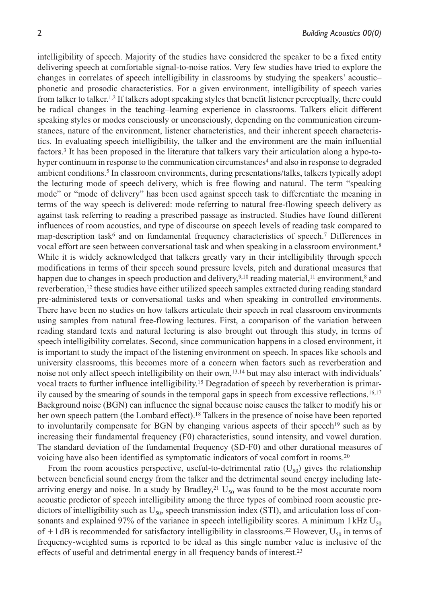intelligibility of speech. Majority of the studies have considered the speaker to be a fixed entity delivering speech at comfortable signal-to-noise ratios. Very few studies have tried to explore the changes in correlates of speech intelligibility in classrooms by studying the speakers' acoustic– phonetic and prosodic characteristics. For a given environment, intelligibility of speech varies from talker to talker.1,2 If talkers adopt speaking styles that benefit listener perceptually, there could be radical changes in the teaching–learning experience in classrooms. Talkers elicit different speaking styles or modes consciously or unconsciously, depending on the communication circumstances, nature of the environment, listener characteristics, and their inherent speech characteristics. In evaluating speech intelligibility, the talker and the environment are the main influential factors.<sup>3</sup> It has been proposed in the literature that talkers vary their articulation along a hypo-tohyper continuum in response to the communication circumstances<sup>4</sup> and also in response to degraded ambient conditions.<sup>5</sup> In classroom environments, during presentations/talks, talkers typically adopt the lecturing mode of speech delivery, which is free flowing and natural. The term "speaking mode" or "mode of delivery" has been used against speech task to differentiate the meaning in terms of the way speech is delivered: mode referring to natural free-flowing speech delivery as against task referring to reading a prescribed passage as instructed. Studies have found different influences of room acoustics, and type of discourse on speech levels of reading task compared to map-description task<sup>6</sup> and on fundamental frequency characteristics of speech.<sup>7</sup> Differences in vocal effort are seen between conversational task and when speaking in a classroom environment.<sup>8</sup> While it is widely acknowledged that talkers greatly vary in their intelligibility through speech modifications in terms of their speech sound pressure levels, pitch and durational measures that happen due to changes in speech production and delivery,  $9,10$  reading material,  $11$  environment,  $8$  and reverberation,12 these studies have either utilized speech samples extracted during reading standard pre-administered texts or conversational tasks and when speaking in controlled environments. There have been no studies on how talkers articulate their speech in real classroom environments using samples from natural free-flowing lectures. First, a comparison of the variation between reading standard texts and natural lecturing is also brought out through this study, in terms of speech intelligibility correlates. Second, since communication happens in a closed environment, it is important to study the impact of the listening environment on speech. In spaces like schools and university classrooms, this becomes more of a concern when factors such as reverberation and noise not only affect speech intelligibility on their own,13,14 but may also interact with individuals' vocal tracts to further influence intelligibility.15 Degradation of speech by reverberation is primarily caused by the smearing of sounds in the temporal gaps in speech from excessive reflections.16,17 Background noise (BGN) can influence the signal because noise causes the talker to modify his or her own speech pattern (the Lombard effect).18 Talkers in the presence of noise have been reported to involuntarily compensate for BGN by changing various aspects of their speech<sup>19</sup> such as by increasing their fundamental frequency (F0) characteristics, sound intensity, and vowel duration. The standard deviation of the fundamental frequency (SD-F0) and other durational measures of voicing have also been identified as symptomatic indicators of vocal comfort in rooms.<sup>20</sup>

From the room acoustics perspective, useful-to-detrimental ratio  $(U_{50})$  gives the relationship between beneficial sound energy from the talker and the detrimental sound energy including latearriving energy and noise. In a study by Bradley,<sup>21</sup>  $U_{50}$  was found to be the most accurate room acoustic predictor of speech intelligibility among the three types of combined room acoustic predictors of intelligibility such as  $U_{50}$ , speech transmission index (STI), and articulation loss of consonants and explained 97% of the variance in speech intelligibility scores. A minimum 1 kHz  $U_{50}$ of  $+1$  dB is recommended for satisfactory intelligibility in classrooms.<sup>22</sup> However, U<sub>50</sub> in terms of frequency-weighted sums is reported to be ideal as this single number value is inclusive of the effects of useful and detrimental energy in all frequency bands of interest.<sup>23</sup>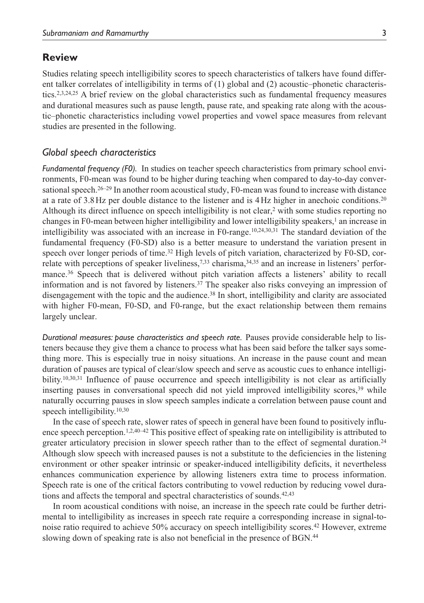## **Review**

Studies relating speech intelligibility scores to speech characteristics of talkers have found different talker correlates of intelligibility in terms of (1) global and (2) acoustic–phonetic characteristics.2,3,24,25 A brief review on the global characteristics such as fundamental frequency measures and durational measures such as pause length, pause rate, and speaking rate along with the acoustic–phonetic characteristics including vowel properties and vowel space measures from relevant studies are presented in the following.

### *Global speech characteristics*

*Fundamental frequency (F0).* In studies on teacher speech characteristics from primary school environments, F0-mean was found to be higher during teaching when compared to day-to-day conversational speech.<sup>26–29</sup> In another room acoustical study, F0-mean was found to increase with distance at a rate of 3.8 Hz per double distance to the listener and is 4 Hz higher in anechoic conditions.<sup>20</sup> Although its direct influence on speech intelligibility is not clear,<sup>2</sup> with some studies reporting no changes in F0-mean between higher intelligibility and lower intelligibility speakers,<sup>1</sup> an increase in intelligibility was associated with an increase in F0-range.10,24,30,31 The standard deviation of the fundamental frequency (F0-SD) also is a better measure to understand the variation present in speech over longer periods of time.<sup>32</sup> High levels of pitch variation, characterized by F0-SD, correlate with perceptions of speaker liveliness,<sup>7,33</sup> charisma, $34,35$  and an increase in listeners' performance.36 Speech that is delivered without pitch variation affects a listeners' ability to recall information and is not favored by listeners.<sup>37</sup> The speaker also risks conveying an impression of disengagement with the topic and the audience.38 In short, intelligibility and clarity are associated with higher F0-mean, F0-SD, and F0-range, but the exact relationship between them remains largely unclear.

*Durational measures: pause characteristics and speech rate.* Pauses provide considerable help to listeners because they give them a chance to process what has been said before the talker says something more. This is especially true in noisy situations. An increase in the pause count and mean duration of pauses are typical of clear/slow speech and serve as acoustic cues to enhance intelligibility.<sup>10,30,31</sup> Influence of pause occurrence and speech intelligibility is not clear as artificially inserting pauses in conversational speech did not yield improved intelligibility scores,<sup>39</sup> while naturally occurring pauses in slow speech samples indicate a correlation between pause count and speech intelligibility.<sup>10,30</sup>

In the case of speech rate, slower rates of speech in general have been found to positively influence speech perception.<sup>1,2,40–42</sup> This positive effect of speaking rate on intelligibility is attributed to greater articulatory precision in slower speech rather than to the effect of segmental duration.<sup>24</sup> Although slow speech with increased pauses is not a substitute to the deficiencies in the listening environment or other speaker intrinsic or speaker-induced intelligibility deficits, it nevertheless enhances communication experience by allowing listeners extra time to process information. Speech rate is one of the critical factors contributing to vowel reduction by reducing vowel durations and affects the temporal and spectral characteristics of sounds.<sup>42,43</sup>

In room acoustical conditions with noise, an increase in the speech rate could be further detrimental to intelligibility as increases in speech rate require a corresponding increase in signal-tonoise ratio required to achieve 50% accuracy on speech intelligibility scores.<sup>42</sup> However, extreme slowing down of speaking rate is also not beneficial in the presence of BGN.44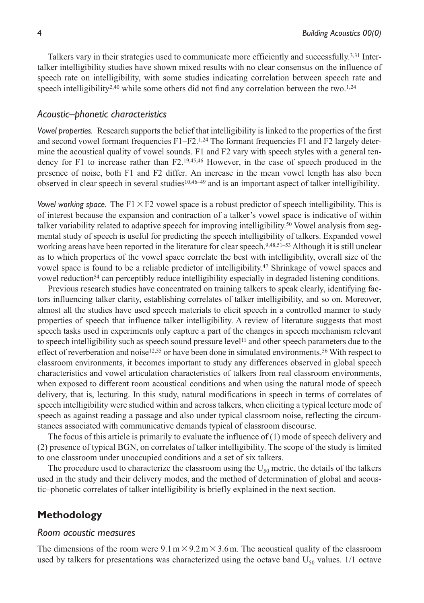Talkers vary in their strategies used to communicate more efficiently and successfully.3,31 Intertalker intelligibility studies have shown mixed results with no clear consensus on the influence of speech rate on intelligibility, with some studies indicating correlation between speech rate and speech intelligibility<sup>2,40</sup> while some others did not find any correlation between the two.<sup>1,24</sup>

### *Acoustic–phonetic characteristics*

*Vowel properties.* Research supports the belief that intelligibility is linked to the properties of the first and second vowel formant frequencies  $F1-F2$ .<sup>1,24</sup> The formant frequencies F1 and F2 largely determine the acoustical quality of vowel sounds. F1 and F2 vary with speech styles with a general tendency for F1 to increase rather than F2.19,45,46 However, in the case of speech produced in the presence of noise, both F1 and F2 differ. An increase in the mean vowel length has also been observed in clear speech in several studies10,46–49 and is an important aspect of talker intelligibility.

*Vowel working space.* The  $F1 \times F2$  vowel space is a robust predictor of speech intelligibility. This is of interest because the expansion and contraction of a talker's vowel space is indicative of within talker variability related to adaptive speech for improving intelligibility.<sup>50</sup> Vowel analysis from segmental study of speech is useful for predicting the speech intelligibility of talkers. Expanded vowel working areas have been reported in the literature for clear speech.9,48,51–53 Although it is still unclear as to which properties of the vowel space correlate the best with intelligibility, overall size of the vowel space is found to be a reliable predictor of intelligibility.47 Shrinkage of vowel spaces and vowel reduction<sup>54</sup> can perceptibly reduce intelligibility especially in degraded listening conditions.

Previous research studies have concentrated on training talkers to speak clearly, identifying factors influencing talker clarity, establishing correlates of talker intelligibility, and so on. Moreover, almost all the studies have used speech materials to elicit speech in a controlled manner to study properties of speech that influence talker intelligibility. A review of literature suggests that most speech tasks used in experiments only capture a part of the changes in speech mechanism relevant to speech intelligibility such as speech sound pressure level<sup>11</sup> and other speech parameters due to the effect of reverberation and noise12,55 or have been done in simulated environments.56 With respect to classroom environments, it becomes important to study any differences observed in global speech characteristics and vowel articulation characteristics of talkers from real classroom environments, when exposed to different room acoustical conditions and when using the natural mode of speech delivery, that is, lecturing. In this study, natural modifications in speech in terms of correlates of speech intelligibility were studied within and across talkers, when eliciting a typical lecture mode of speech as against reading a passage and also under typical classroom noise, reflecting the circumstances associated with communicative demands typical of classroom discourse.

The focus of this article is primarily to evaluate the influence of (1) mode of speech delivery and (2) presence of typical BGN, on correlates of talker intelligibility. The scope of the study is limited to one classroom under unoccupied conditions and a set of six talkers.

The procedure used to characterize the classroom using the  $U_{50}$  metric, the details of the talkers used in the study and their delivery modes, and the method of determination of global and acoustic–phonetic correlates of talker intelligibility is briefly explained in the next section.

# **Methodology**

#### *Room acoustic measures*

The dimensions of the room were  $9.1 \text{ m} \times 9.2 \text{ m} \times 3.6 \text{ m}$ . The acoustical quality of the classroom used by talkers for presentations was characterized using the octave band  $U_{50}$  values. 1/1 octave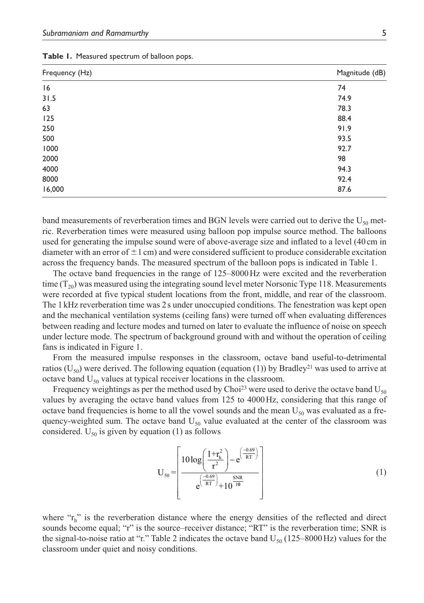| Frequency (Hz) | Magnitude (dB) |
|----------------|----------------|
| 16             | 74             |
| 31.5           | 74.9           |
| 63             | 78.3           |
| 125            | 88.4           |
| 250            | 91.9           |
| 500            | 93.5           |
| 1000           | 92.7           |
| 2000           | 98             |
| 4000           | 94.3           |
| 8000           | 92.4           |
| 16,000         | 87.6           |

**Table 1.** Measured spectrum of balloon pops.

band measurements of reverberation times and BGN levels were carried out to derive the  $U_{50}$  metric. Reverberation times were measured using balloon pop impulse source method. The balloons used for generating the impulse sound were of above-average size and inflated to a level (40 cm in diameter with an error of  $\pm 1$  cm) and were considered sufficient to produce considerable excitation across the frequency bands. The measured spectrum of the balloon pops is indicated in Table 1.

The octave band frequencies in the range of 125–8000 Hz were excited and the reverberation time  $(T_{20})$  was measured using the integrating sound level meter Norsonic Type 118. Measurements were recorded at five typical student locations from the front, middle, and rear of the classroom. The 1 kHz reverberation time was 2 s under unoccupied conditions. The fenestration was kept open and the mechanical ventilation systems (ceiling fans) were turned off when evaluating differences between reading and lecture modes and turned on later to evaluate the influence of noise on speech under lecture mode. The spectrum of background ground with and without the operation of ceiling fans is indicated in Figure 1.

From the measured impulse responses in the classroom, octave band useful-to-detrimental ratios ( $U_{50}$ ) were derived. The following equation (equation (1)) by Bradley<sup>21</sup> was used to arrive at octave band  $U_{50}$  values at typical receiver locations in the classroom.

Frequency weightings as per the method used by Choi<sup>23</sup> were used to derive the octave band  $U_{50}$ values by averaging the octave band values from 125 to 4000 Hz, considering that this range of octave band frequencies is home to all the vowel sounds and the mean  $U_{50}$  was evaluated as a frequency-weighted sum. The octave band  $U_{50}$  value evaluated at the center of the classroom was considered.  $U_{50}$  is given by equation (1) as follows

$$
U_{50} = \left[ \frac{10 \log \left( \frac{1 + r_h^2}{r^2} \right) - e^{\left( \frac{-0.69}{RT} \right)}}{e^{\left( \frac{-0.69}{RT} \right)} + 10^{\frac{SNR}{10}}}} \right]
$$
(1)

where "r<sub>h</sub>" is the reverberation distance where the energy densities of the reflected and direct sounds become equal; "r" is the source–receiver distance; "RT" is the reverberation time; SNR is the signal-to-noise ratio at "r." Table 2 indicates the octave band  $U_{50}$  (125–8000 Hz) values for the classroom under quiet and noisy conditions.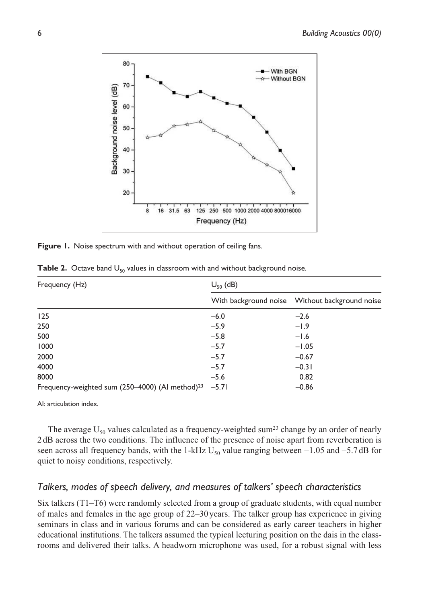

Figure 1. Noise spectrum with and without operation of ceiling fans.

| Frequency (Hz)                                              | $U_{50}$ (dB) |                                                   |  |  |
|-------------------------------------------------------------|---------------|---------------------------------------------------|--|--|
|                                                             |               | With background noise    Vithout background noise |  |  |
| 125                                                         | $-6.0$        | $-2.6$                                            |  |  |
| 250                                                         | $-5.9$        | $-1.9$                                            |  |  |
| 500                                                         | $-5.8$        | $-1.6$                                            |  |  |
| 1000                                                        | $-5.7$        | $-1.05$                                           |  |  |
| 2000                                                        | $-5.7$        | $-0.67$                                           |  |  |
| 4000                                                        | $-5.7$        | $-0.31$                                           |  |  |
| 8000                                                        | $-5.6$        | 0.82                                              |  |  |
| Frequency-weighted sum (250-4000) (Al method) <sup>23</sup> | $-5.71$       | $-0.86$                                           |  |  |

**Table 2.** Octave band U<sub>50</sub> values in classroom with and without background noise.

AI: articulation index.

The average  $U_{50}$  values calculated as a frequency-weighted sum<sup>23</sup> change by an order of nearly 2 dB across the two conditions. The influence of the presence of noise apart from reverberation is seen across all frequency bands, with the 1-kHz U<sub>50</sub> value ranging between  $-1.05$  and  $-5.7$  dB for quiet to noisy conditions, respectively.

## *Talkers, modes of speech delivery, and measures of talkers' speech characteristics*

Six talkers (T1–T6) were randomly selected from a group of graduate students, with equal number of males and females in the age group of 22–30 years. The talker group has experience in giving seminars in class and in various forums and can be considered as early career teachers in higher educational institutions. The talkers assumed the typical lecturing position on the dais in the classrooms and delivered their talks. A headworn microphone was used, for a robust signal with less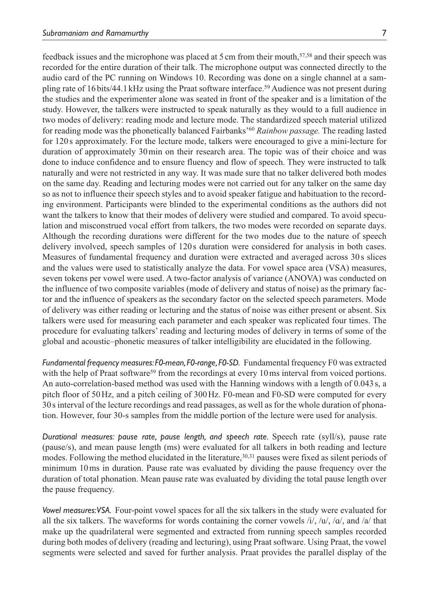feedback issues and the microphone was placed at 5 cm from their mouth,57,58 and their speech was recorded for the entire duration of their talk. The microphone output was connected directly to the audio card of the PC running on Windows 10. Recording was done on a single channel at a sampling rate of 16 bits/44.1 kHz using the Praat software interface.59 Audience was not present during the studies and the experimenter alone was seated in front of the speaker and is a limitation of the study. However, the talkers were instructed to speak naturally as they would to a full audience in two modes of delivery: reading mode and lecture mode. The standardized speech material utilized for reading mode was the phonetically balanced Fairbanks'<sup>60</sup> *Rainbow passage.* The reading lasted for 120 s approximately. For the lecture mode, talkers were encouraged to give a mini-lecture for duration of approximately 30 min on their research area. The topic was of their choice and was done to induce confidence and to ensure fluency and flow of speech. They were instructed to talk naturally and were not restricted in any way. It was made sure that no talker delivered both modes on the same day. Reading and lecturing modes were not carried out for any talker on the same day so as not to influence their speech styles and to avoid speaker fatigue and habituation to the recording environment. Participants were blinded to the experimental conditions as the authors did not want the talkers to know that their modes of delivery were studied and compared. To avoid speculation and misconstrued vocal effort from talkers, the two modes were recorded on separate days. Although the recording durations were different for the two modes due to the nature of speech delivery involved, speech samples of 120s duration were considered for analysis in both cases. Measures of fundamental frequency and duration were extracted and averaged across 30 s slices and the values were used to statistically analyze the data. For vowel space area (VSA) measures, seven tokens per vowel were used. A two-factor analysis of variance (ANOVA) was conducted on the influence of two composite variables (mode of delivery and status of noise) as the primary factor and the influence of speakers as the secondary factor on the selected speech parameters. Mode of delivery was either reading or lecturing and the status of noise was either present or absent. Six talkers were used for measuring each parameter and each speaker was replicated four times. The procedure for evaluating talkers' reading and lecturing modes of delivery in terms of some of the global and acoustic–phonetic measures of talker intelligibility are elucidated in the following.

*Fundamental frequency measures: F0-mean, F0-range, F0-SD.* Fundamental frequency F0 was extracted with the help of Praat software<sup>59</sup> from the recordings at every 10 ms interval from voiced portions. An auto-correlation-based method was used with the Hanning windows with a length of 0.043 s, a pitch floor of 50 Hz, and a pitch ceiling of 300 Hz. F0-mean and F0-SD were computed for every 30 s interval of the lecture recordings and read passages, as well as for the whole duration of phonation. However, four 30-s samples from the middle portion of the lecture were used for analysis.

*Durational measures: pause rate, pause length, and speech rate.* Speech rate (syll/s), pause rate (pause/s), and mean pause length (ms) were evaluated for all talkers in both reading and lecture modes. Following the method elucidated in the literature, $30,31$  pauses were fixed as silent periods of minimum 10 ms in duration. Pause rate was evaluated by dividing the pause frequency over the duration of total phonation. Mean pause rate was evaluated by dividing the total pause length over the pause frequency.

*Vowel measures: VSA.* Four-point vowel spaces for all the six talkers in the study were evaluated for all the six talkers. The waveforms for words containing the corner vowels  $/i$ ,  $/u$ ,  $/a$ , and  $/a$  that make up the quadrilateral were segmented and extracted from running speech samples recorded during both modes of delivery (reading and lecturing), using Praat software. Using Praat, the vowel segments were selected and saved for further analysis. Praat provides the parallel display of the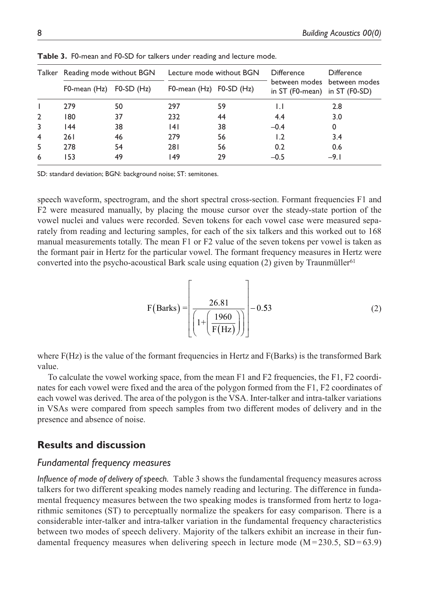|                | Talker Reading mode without BGN |              | Lecture mode without BGN    |    | <b>Difference</b>                                                | <b>Difference</b> |
|----------------|---------------------------------|--------------|-----------------------------|----|------------------------------------------------------------------|-------------------|
|                | F0-mean (Hz)                    | $FO-SD$ (Hz) | F0-mean $(Hz)$ F0-SD $(Hz)$ |    | between modes between modes<br>in $ST$ (F0-mean) in $ST$ (F0-SD) |                   |
|                | 279                             | 50           | 297                         | 59 | IJ                                                               | 2.8               |
| $\overline{2}$ | 180                             | 37           | 232                         | 44 | 4.4                                                              | 3.0               |
| 3              | 44                              | 38           | 141                         | 38 | $-0.4$                                                           | 0                 |
| 4              | 261                             | 46           | 279                         | 56 | 1.2                                                              | 3.4               |
| 5              | 278                             | 54           | 281                         | 56 | 0.2                                                              | 0.6               |
| 6              | 153                             | 49           | 149                         | 29 | $-0.5$                                                           | $-9.1$            |

**Table 3.** F0-mean and F0-SD for talkers under reading and lecture mode.

SD: standard deviation; BGN: background noise; ST: semitones.

speech waveform, spectrogram, and the short spectral cross-section. Formant frequencies F1 and F2 were measured manually, by placing the mouse cursor over the steady-state portion of the vowel nuclei and values were recorded. Seven tokens for each vowel case were measured separately from reading and lecturing samples, for each of the six talkers and this worked out to 168 manual measurements totally. The mean F1 or F2 value of the seven tokens per vowel is taken as the formant pair in Hertz for the particular vowel. The formant frequency measures in Hertz were converted into the psycho-acoustical Bark scale using equation (2) given by Traunmüller<sup>61</sup>

$$
F(Barks) = \left[\frac{26.81}{\left(1 + \left(\frac{1960}{F(Hz)}\right)\right)}\right] - 0.53\tag{2}
$$

where F(Hz) is the value of the formant frequencies in Hertz and F(Barks) is the transformed Bark value.

To calculate the vowel working space, from the mean F1 and F2 frequencies, the F1, F2 coordinates for each vowel were fixed and the area of the polygon formed from the F1, F2 coordinates of each vowel was derived. The area of the polygon is the VSA. Inter-talker and intra-talker variations in VSAs were compared from speech samples from two different modes of delivery and in the presence and absence of noise.

# **Results and discussion**

# *Fundamental frequency measures*

*Influence of mode of delivery of speech.* Table 3 shows the fundamental frequency measures across talkers for two different speaking modes namely reading and lecturing. The difference in fundamental frequency measures between the two speaking modes is transformed from hertz to logarithmic semitones (ST) to perceptually normalize the speakers for easy comparison. There is a considerable inter-talker and intra-talker variation in the fundamental frequency characteristics between two modes of speech delivery. Majority of the talkers exhibit an increase in their fundamental frequency measures when delivering speech in lecture mode  $(M=230.5, SD=63.9)$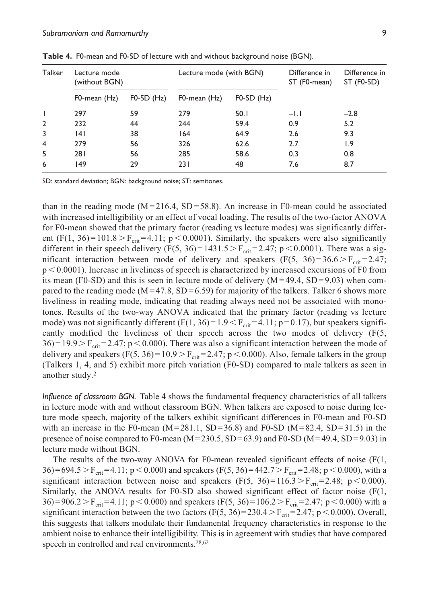| Talker         | Lecture mode<br>(without BGN) |                | Lecture mode (with BGN) |              | Difference in<br>ST (F0-mean) | Difference in<br>ST (F0-SD) |
|----------------|-------------------------------|----------------|-------------------------|--------------|-------------------------------|-----------------------------|
|                | F0-mean (Hz)                  | $FO-SD$ $(Hz)$ | F0-mean (Hz)            | $FO-SD$ (Hz) |                               |                             |
|                | 297                           | 59             | 279                     | 50.1         | $-1.1$                        | $-2.8$                      |
| $\overline{2}$ | 232                           | 44             | 244                     | 59.4         | 0.9                           | 5.2                         |
| 3              | 141                           | 38             | 164                     | 64.9         | 2.6                           | 9.3                         |
| $\overline{4}$ | 279                           | 56             | 326                     | 62.6         | 2.7                           | 1.9                         |
| 5              | 281                           | 56             | 285                     | 58.6         | 0.3                           | 0.8                         |
| 6              | 49                            | 29             | 231                     | 48           | 7.6                           | 8.7                         |

**Table 4.** F0-mean and F0-SD of lecture with and without background noise (BGN).

SD: standard deviation; BGN: background noise; ST: semitones.

than in the reading mode ( $M = 216.4$ , SD = 58.8). An increase in F0-mean could be associated with increased intelligibility or an effect of vocal loading. The results of the two-factor ANOVA for F0-mean showed that the primary factor (reading vs lecture modes) was significantly different (F(1, 36) = 101.8 > F<sub>crit</sub> = 4.11; p < 0.0001). Similarly, the speakers were also significantly different in their speech delivery (F(5, 36) = 1431.5 > F<sub>crit</sub> = 2.47; p < 0.0001). There was a significant interaction between mode of delivery and speakers  $(F(5, 36)=36.6 > F_{crit}=2.47;$ p < 0.0001). Increase in liveliness of speech is characterized by increased excursions of F0 from its mean (F0-SD) and this is seen in lecture mode of delivery  $(M=49.4, SD=9.03)$  when compared to the reading mode ( $M = 47.8$ , SD = 6.59) for majority of the talkers. Talker 6 shows more liveliness in reading mode, indicating that reading always need not be associated with monotones. Results of the two-way ANOVA indicated that the primary factor (reading vs lecture mode) was not significantly different  $(F(1, 36) = 1.9 < F<sub>crit</sub> = 4.11$ ; p=0.17), but speakers significantly modified the liveliness of their speech across the two modes of delivery (F(5,  $36$ ) = 19.9 > F<sub>crit</sub> = 2.47; p < 0.000). There was also a significant interaction between the mode of delivery and speakers  $(F(5, 36) = 10.9 > F_{crit} = 2.47; p < 0.000)$ . Also, female talkers in the group (Talkers 1, 4, and 5) exhibit more pitch variation (F0-SD) compared to male talkers as seen in another study.<sup>2</sup>

*Influence of classroom BGN.* Table 4 shows the fundamental frequency characteristics of all talkers in lecture mode with and without classroom BGN. When talkers are exposed to noise during lecture mode speech, majority of the talkers exhibit significant differences in F0-mean and F0-SD with an increase in the F0-mean  $(M=281.1, SD=36.8)$  and F0-SD  $(M=82.4, SD=31.5)$  in the presence of noise compared to F0-mean ( $M = 230.5$ , SD = 63.9) and F0-SD ( $M = 49.4$ , SD = 9.03) in lecture mode without BGN.

The results of the two-way ANOVA for F0-mean revealed significant effects of noise  $(F(1,$ 36) = 694.5 > F<sub>crit</sub> = 4.11; p < 0.000) and speakers (F(5, 36) = 442.7 > F<sub>crit</sub> = 2.48; p < 0.000), with a significant interaction between noise and speakers  $(F(5, 36)=116.3 > F<sub>crit</sub>=2.48; p < 0.000)$ . Similarly, the ANOVA results for F0-SD also showed significant effect of factor noise (F(1, 36) = 906.2 > F<sub>crit</sub> = 4.11; p < 0.000) and speakers (F(5, 36) = 106.2 > F<sub>crit</sub> = 2.47; p < 0.000) with a significant interaction between the two factors  $(F(5, 36)=230.4 > F<sub>crit</sub>=2.47; p < 0.000$ ). Overall, this suggests that talkers modulate their fundamental frequency characteristics in response to the ambient noise to enhance their intelligibility. This is in agreement with studies that have compared speech in controlled and real environments.<sup>28,62</sup>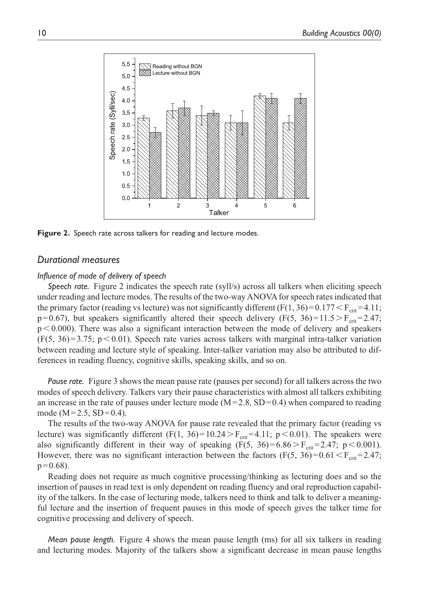

**Figure 2.** Speech rate across talkers for reading and lecture modes.

## *Durational measures*

#### *Influence of mode of delivery of speech*

*Speech rate.* Figure 2 indicates the speech rate (syll/s) across all talkers when eliciting speech under reading and lecture modes. The results of the two-way ANOVA for speech rates indicated that the primary factor (reading vs lecture) was not significantly different  $(F(1, 36) = 0.177 < F_{crit} = 4.11$ ;  $p=0.67$ ), but speakers significantly altered their speech delivery (F(5, 36) = 11.5 > F<sub>crit</sub> = 2.47;  $p < 0.000$ ). There was also a significant interaction between the mode of delivery and speakers  $(F(5, 36)=3.75; p<0.01)$ . Speech rate varies across talkers with marginal intra-talker variation between reading and lecture style of speaking. Inter-talker variation may also be attributed to differences in reading fluency, cognitive skills, speaking skills, and so on.

*Pause rate.* Figure 3 shows the mean pause rate (pauses per second) for all talkers across the two modes of speech delivery. Talkers vary their pause characteristics with almost all talkers exhibiting an increase in the rate of pauses under lecture mode  $(M=2.8, SD=0.4)$  when compared to reading mode ( $M = 2.5$ ,  $SD = 0.4$ ).

The results of the two-way ANOVA for pause rate revealed that the primary factor (reading vs lecture) was significantly different (F(1, 36)=10.24 > F<sub>crit</sub>=4.11; p < 0.01). The speakers were also significantly different in their way of speaking  $(F(5, 36) = 6.86 > F<sub>crit</sub> = 2.47; p < 0.001)$ . However, there was no significant interaction between the factors (F(5, 36)=0.61 <  $F_{\text{crit}}$ =2.47;  $p = 0.68$ ).

Reading does not require as much cognitive processing/thinking as lecturing does and so the insertion of pauses in read text is only dependent on reading fluency and oral reproduction capability of the talkers. In the case of lecturing mode, talkers need to think and talk to deliver a meaningful lecture and the insertion of frequent pauses in this mode of speech gives the talker time for cognitive processing and delivery of speech.

*Mean pause length.* Figure 4 shows the mean pause length (ms) for all six talkers in reading and lecturing modes. Majority of the talkers show a significant decrease in mean pause lengths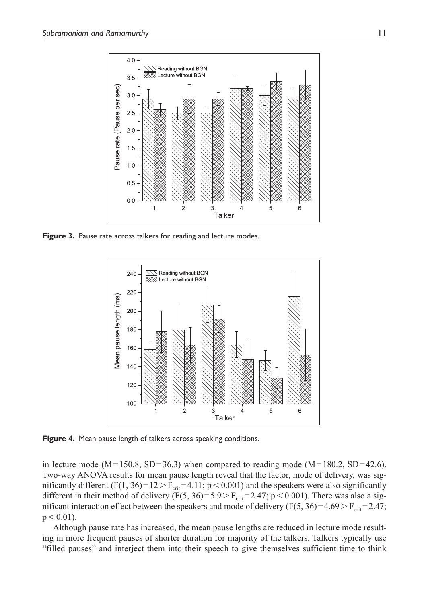

Figure 3. Pause rate across talkers for reading and lecture modes.



**Figure 4.** Mean pause length of talkers across speaking conditions.

in lecture mode (M = 150.8, SD = 36.3) when compared to reading mode (M = 180.2, SD = 42.6). Two-way ANOVA results for mean pause length reveal that the factor, mode of delivery, was significantly different (F(1, 36)= $12 > F_{crit}$ =4.11; p < 0.001) and the speakers were also significantly different in their method of delivery (F(5, 36)=5.9 > F<sub>crit</sub>=2.47; p < 0.001). There was also a significant interaction effect between the speakers and mode of delivery ( $F(5, 36) = 4.69 > F<sub>crit</sub> = 2.47$ ;  $p < 0.01$ ).

Although pause rate has increased, the mean pause lengths are reduced in lecture mode resulting in more frequent pauses of shorter duration for majority of the talkers. Talkers typically use "filled pauses" and interject them into their speech to give themselves sufficient time to think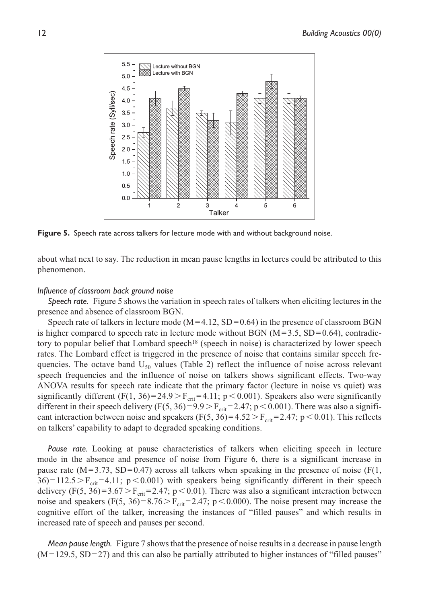

**Figure 5.** Speech rate across talkers for lecture mode with and without background noise.

about what next to say. The reduction in mean pause lengths in lectures could be attributed to this phenomenon.

#### *Influence of classroom back ground noise*

*Speech rate.* Figure 5 shows the variation in speech rates of talkers when eliciting lectures in the presence and absence of classroom BGN.

Speech rate of talkers in lecture mode  $(M=4.12, SD=0.64)$  in the presence of classroom BGN is higher compared to speech rate in lecture mode without BGN  $(M=3.5, SD=0.64)$ , contradictory to popular belief that Lombard speech<sup>18</sup> (speech in noise) is characterized by lower speech rates. The Lombard effect is triggered in the presence of noise that contains similar speech frequencies. The octave band  $U_{50}$  values (Table 2) reflect the influence of noise across relevant speech frequencies and the influence of noise on talkers shows significant effects. Two-way ANOVA results for speech rate indicate that the primary factor (lecture in noise vs quiet) was significantly different (F(1, 36) = 24.9 > F<sub>crit</sub> = 4.11; p < 0.001). Speakers also were significantly different in their speech delivery (F(5, 36)=9.9>F<sub>crit</sub>=2.47; p < 0.001). There was also a significant interaction between noise and speakers (F(5, 36)=4.52 > F<sub>crit</sub> = 2.47; p < 0.01). This reflects on talkers' capability to adapt to degraded speaking conditions.

*Pause rate.* Looking at pause characteristics of talkers when eliciting speech in lecture mode in the absence and presence of noise from Figure 6, there is a significant increase in pause rate  $(M=3.73, SD=0.47)$  across all talkers when speaking in the presence of noise (F(1,  $36$ ) = 112.5 > F<sub>crit</sub> = 4.11; p < 0.001) with speakers being significantly different in their speech delivery (F(5, 36)=3.67 > F<sub>crit</sub>=2.47; p < 0.01). There was also a significant interaction between noise and speakers  $(F(5, 36) = 8.76 > F_{crit} = 2.47; p < 0.000)$ . The noise present may increase the cognitive effort of the talker, increasing the instances of "filled pauses" and which results in increased rate of speech and pauses per second.

*Mean pause length.* Figure 7 shows that the presence of noise results in a decrease in pause length  $(M=129.5, SD=27)$  and this can also be partially attributed to higher instances of "filled pauses"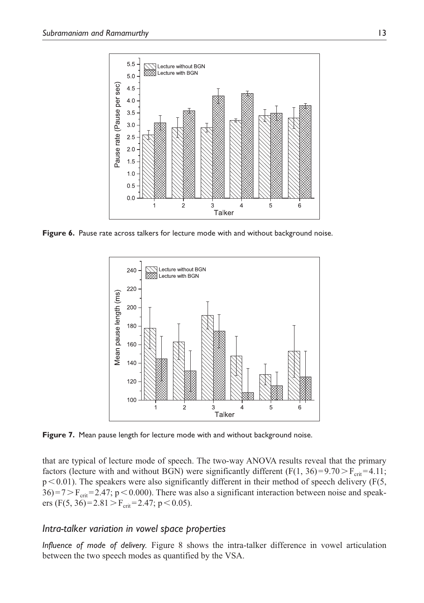

**Figure 6.** Pause rate across talkers for lecture mode with and without background noise.



Figure 7. Mean pause length for lecture mode with and without background noise.

that are typical of lecture mode of speech. The two-way ANOVA results reveal that the primary factors (lecture with and without BGN) were significantly different (F(1, 36)=9.70 > F<sub>crit</sub> = 4.11;  $p < 0.01$ ). The speakers were also significantly different in their method of speech delivery (F(5,  $36 = 7 > F<sub>crit</sub> = 2.47$ ; p < 0.000). There was also a significant interaction between noise and speakers (F(5, 36)=2.81 > F<sub>crit</sub>=2.47; p < 0.05).

## *Intra-talker variation in vowel space properties*

*Influence of mode of delivery.* Figure 8 shows the intra-talker difference in vowel articulation between the two speech modes as quantified by the VSA.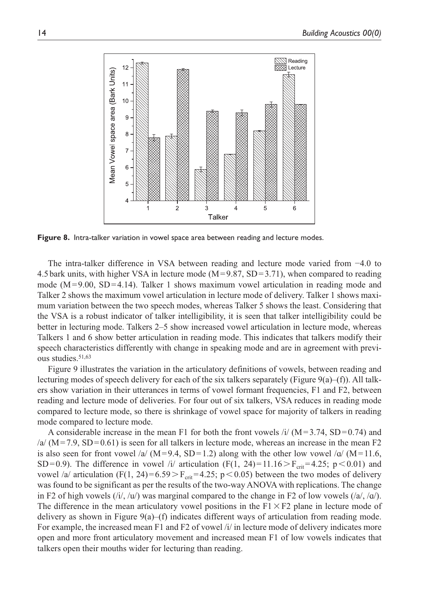

**Figure 8.** Intra-talker variation in vowel space area between reading and lecture modes.

The intra-talker difference in VSA between reading and lecture mode varied from −4.0 to 4.5 bark units, with higher VSA in lecture mode  $(M=9.87, SD=3.71)$ , when compared to reading mode  $(M=9.00, SD=4.14)$ . Talker 1 shows maximum vowel articulation in reading mode and Talker 2 shows the maximum vowel articulation in lecture mode of delivery. Talker 1 shows maximum variation between the two speech modes, whereas Talker 5 shows the least. Considering that the VSA is a robust indicator of talker intelligibility, it is seen that talker intelligibility could be better in lecturing mode. Talkers 2–5 show increased vowel articulation in lecture mode, whereas Talkers 1 and 6 show better articulation in reading mode. This indicates that talkers modify their speech characteristics differently with change in speaking mode and are in agreement with previous studies.51,63

Figure 9 illustrates the variation in the articulatory definitions of vowels, between reading and lecturing modes of speech delivery for each of the six talkers separately (Figure 9(a)–(f)). All talkers show variation in their utterances in terms of vowel formant frequencies, F1 and F2, between reading and lecture mode of deliveries. For four out of six talkers, VSA reduces in reading mode compared to lecture mode, so there is shrinkage of vowel space for majority of talkers in reading mode compared to lecture mode.

A considerable increase in the mean F1 for both the front vowels /i/  $(M=3.74, SD=0.74)$  and  $/a/$  (M = 7.9, SD = 0.61) is seen for all talkers in lecture mode, whereas an increase in the mean F2 is also seen for front vowel /a/ (M=9.4, SD=1.2) along with the other low vowel /a/ (M=11.6, SD=0.9). The difference in vowel /i/ articulation (F(1, 24)=11.16 > F<sub>cri</sub>=4.25; p < 0.01) and vowel /a/ articulation (F(1, 24)=6.59 > F<sub>crit</sub> = 4.25; p < 0.05) between the two modes of delivery was found to be significant as per the results of the two-way ANOVA with replications. The change in F2 of high vowels  $(i/\sqrt{u})$  was marginal compared to the change in F2 of low vowels  $(i\sqrt{a})$ . The difference in the mean articulatory vowel positions in the  $F1 \times F2$  plane in lecture mode of delivery as shown in Figure 9(a)–(f) indicates different ways of articulation from reading mode. For example, the increased mean F1 and F2 of vowel /i/ in lecture mode of delivery indicates more open and more front articulatory movement and increased mean F1 of low vowels indicates that talkers open their mouths wider for lecturing than reading.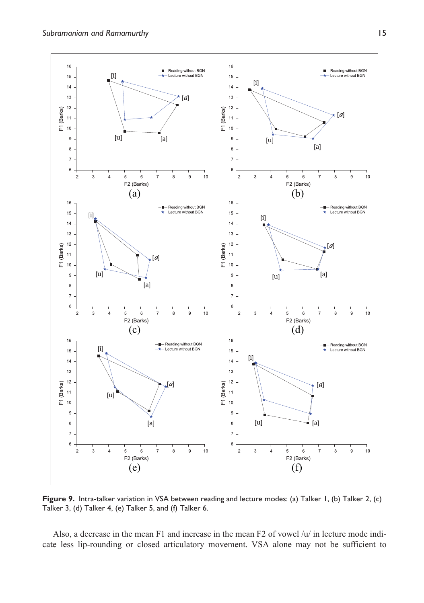

Figure 9. Intra-talker variation in VSA between reading and lecture modes: (a) Talker 1, (b) Talker 2, (c) Talker 3, (d) Talker 4, (e) Talker 5, and (f) Talker 6.

Also, a decrease in the mean F1 and increase in the mean F2 of vowel /u/ in lecture mode indicate less lip-rounding or closed articulatory movement. VSA alone may not be sufficient to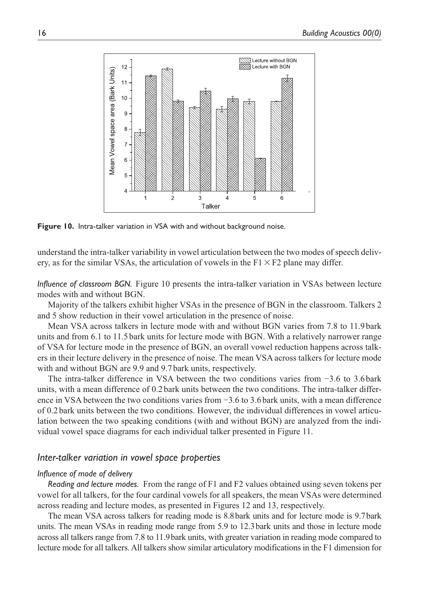

**Figure 10.** Intra-talker variation in VSA with and without background noise.

understand the intra-talker variability in vowel articulation between the two modes of speech delivery, as for the similar VSAs, the articulation of vowels in the  $F1 \times F2$  plane may differ.

*Influence of classroom BGN.* Figure 10 presents the intra-talker variation in VSAs between lecture modes with and without BGN.

Majority of the talkers exhibit higher VSAs in the presence of BGN in the classroom. Talkers 2 and 5 show reduction in their vowel articulation in the presence of noise.

Mean VSA across talkers in lecture mode with and without BGN varies from 7.8 to 11.9 bark units and from 6.1 to 11.5 bark units for lecture mode with BGN. With a relatively narrower range of VSA for lecture mode in the presence of BGN, an overall vowel reduction happens across talkers in their lecture delivery in the presence of noise. The mean VSA across talkers for lecture mode with and without BGN are 9.9 and 9.7 bark units, respectively.

The intra-talker difference in VSA between the two conditions varies from −3.6 to 3.6 bark units, with a mean difference of 0.2 bark units between the two conditions. The intra-talker difference in VSA between the two conditions varies from −3.6 to 3.6 bark units, with a mean difference of 0.2 bark units between the two conditions. However, the individual differences in vowel articulation between the two speaking conditions (with and without BGN) are analyzed from the individual vowel space diagrams for each individual talker presented in Figure 11.

### *Inter-talker variation in vowel space properties*

#### *Influence of mode of delivery*

*Reading and lecture modes.* From the range of F1 and F2 values obtained using seven tokens per vowel for all talkers, for the four cardinal vowels for all speakers, the mean VSAs were determined across reading and lecture modes, as presented in Figures 12 and 13, respectively.

The mean VSA across talkers for reading mode is 8.8 bark units and for lecture mode is 9.7 bark units. The mean VSAs in reading mode range from 5.9 to 12.3 bark units and those in lecture mode across all talkers range from 7.8 to 11.9 bark units, with greater variation in reading mode compared to lecture mode for all talkers. All talkers show similar articulatory modifications in the F1 dimension for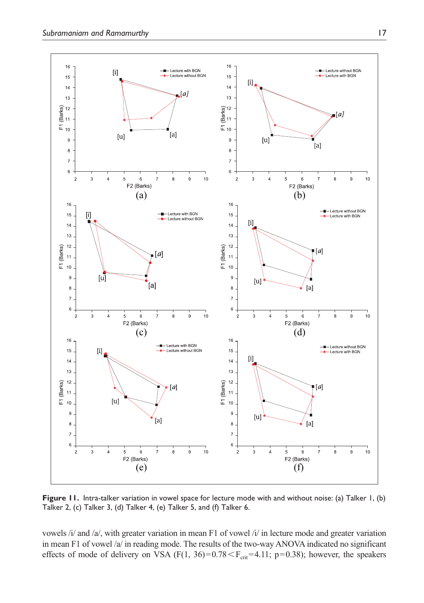

**Figure 11.** Intra-talker variation in vowel space for lecture mode with and without noise: (a) Talker 1, (b) Talker 2, (c) Talker 3, (d) Talker 4, (e) Talker 5, and (f) Talker 6.

vowels /i/ and /a/, with greater variation in mean F1 of vowel /i/ in lecture mode and greater variation in mean F1 of vowel /a/ in reading mode. The results of the two-way ANOVA indicated no significant effects of mode of delivery on VSA (F(1, 36)= $0.78 < F_{crit}$ =4.11; p=0.38); however, the speakers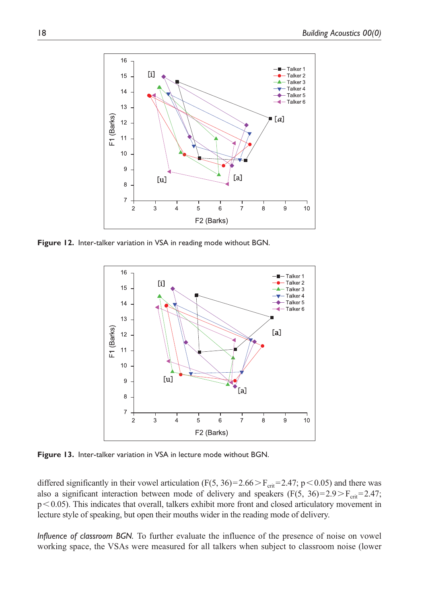

**Figure 12.** Inter-talker variation in VSA in reading mode without BGN.



**Figure 13.** Inter-talker variation in VSA in lecture mode without BGN.

differed significantly in their vowel articulation (F(5, 36)=2.66 > F<sub>crit</sub>=2.47; p < 0.05) and there was also a significant interaction between mode of delivery and speakers (F(5, 36)=2.9> $F_{\text{crit}}$ =2.47; p < 0.05). This indicates that overall, talkers exhibit more front and closed articulatory movement in lecture style of speaking, but open their mouths wider in the reading mode of delivery.

*Influence of classroom BGN.* To further evaluate the influence of the presence of noise on vowel working space, the VSAs were measured for all talkers when subject to classroom noise (lower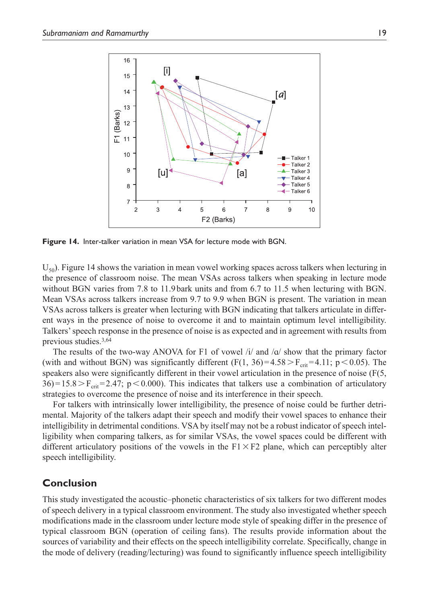

**Figure 14.** Inter-talker variation in mean VSA for lecture mode with BGN.

 $U_{50}$ ). Figure 14 shows the variation in mean vowel working spaces across talkers when lecturing in the presence of classroom noise. The mean VSAs across talkers when speaking in lecture mode without BGN varies from 7.8 to 11.9 bark units and from 6.7 to 11.5 when lecturing with BGN. Mean VSAs across talkers increase from 9.7 to 9.9 when BGN is present. The variation in mean VSAs across talkers is greater when lecturing with BGN indicating that talkers articulate in different ways in the presence of noise to overcome it and to maintain optimum level intelligibility. Talkers' speech response in the presence of noise is as expected and in agreement with results from previous studies.3,64

The results of the two-way ANOVA for F1 of vowel  $\frac{1}{4}$  and  $\frac{1}{a}$  show that the primary factor (with and without BGN) was significantly different (F(1, 36)=4.58 >  $F_{crit}$  =4.11; p < 0.05). The speakers also were significantly different in their vowel articulation in the presence of noise (F(5,  $36$ ) = 15.8 > F<sub>crit</sub> = 2.47; p < 0.000). This indicates that talkers use a combination of articulatory strategies to overcome the presence of noise and its interference in their speech.

For talkers with intrinsically lower intelligibility, the presence of noise could be further detrimental. Majority of the talkers adapt their speech and modify their vowel spaces to enhance their intelligibility in detrimental conditions. VSA by itself may not be a robust indicator of speech intelligibility when comparing talkers, as for similar VSAs, the vowel spaces could be different with different articulatory positions of the vowels in the  $F1 \times F2$  plane, which can perceptibly alter speech intelligibility.

## **Conclusion**

This study investigated the acoustic–phonetic characteristics of six talkers for two different modes of speech delivery in a typical classroom environment. The study also investigated whether speech modifications made in the classroom under lecture mode style of speaking differ in the presence of typical classroom BGN (operation of ceiling fans). The results provide information about the sources of variability and their effects on the speech intelligibility correlate. Specifically, change in the mode of delivery (reading/lecturing) was found to significantly influence speech intelligibility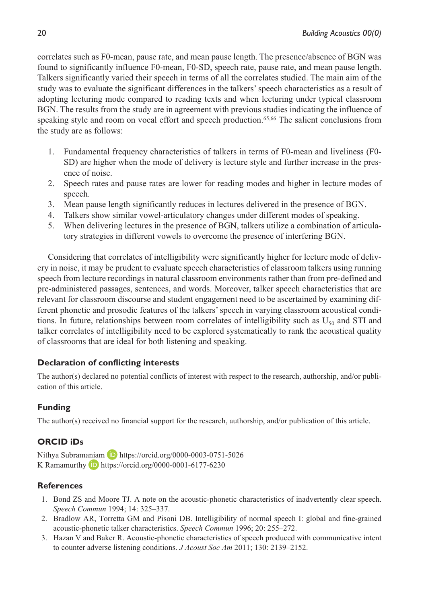correlates such as F0-mean, pause rate, and mean pause length. The presence/absence of BGN was found to significantly influence F0-mean, F0-SD, speech rate, pause rate, and mean pause length. Talkers significantly varied their speech in terms of all the correlates studied. The main aim of the study was to evaluate the significant differences in the talkers' speech characteristics as a result of adopting lecturing mode compared to reading texts and when lecturing under typical classroom BGN. The results from the study are in agreement with previous studies indicating the influence of speaking style and room on vocal effort and speech production.<sup>65,66</sup> The salient conclusions from the study are as follows:

- 1. Fundamental frequency characteristics of talkers in terms of F0-mean and liveliness (F0- SD) are higher when the mode of delivery is lecture style and further increase in the presence of noise.
- 2. Speech rates and pause rates are lower for reading modes and higher in lecture modes of speech.
- 3. Mean pause length significantly reduces in lectures delivered in the presence of BGN.
- 4. Talkers show similar vowel-articulatory changes under different modes of speaking.
- 5. When delivering lectures in the presence of BGN, talkers utilize a combination of articulatory strategies in different vowels to overcome the presence of interfering BGN.

Considering that correlates of intelligibility were significantly higher for lecture mode of delivery in noise, it may be prudent to evaluate speech characteristics of classroom talkers using running speech from lecture recordings in natural classroom environments rather than from pre-defined and pre-administered passages, sentences, and words. Moreover, talker speech characteristics that are relevant for classroom discourse and student engagement need to be ascertained by examining different phonetic and prosodic features of the talkers' speech in varying classroom acoustical conditions. In future, relationships between room correlates of intelligibility such as  $U_{50}$  and STI and talker correlates of intelligibility need to be explored systematically to rank the acoustical quality of classrooms that are ideal for both listening and speaking.

# **Declaration of conflicting interests**

The author(s) declared no potential conflicts of interest with respect to the research, authorship, and/or publication of this article.

# **Funding**

The author(s) received no financial support for the research, authorship, and/or publication of this article.

# **ORCID iDs**

Nithya Subramaniam D https://orcid.org/0000-0003-0751-5026 K Ramamurthy https://orcid.org/0000-0001-6177-6230

# **References**

- 1. Bond ZS and Moore TJ. A note on the acoustic-phonetic characteristics of inadvertently clear speech. *Speech Commun* 1994; 14: 325–337.
- 2. Bradlow AR, Torretta GM and Pisoni DB. Intelligibility of normal speech I: global and fine-grained acoustic-phonetic talker characteristics. *Speech Commun* 1996; 20: 255–272.
- 3. Hazan V and Baker R. Acoustic-phonetic characteristics of speech produced with communicative intent to counter adverse listening conditions. *J Acoust Soc Am* 2011; 130: 2139–2152.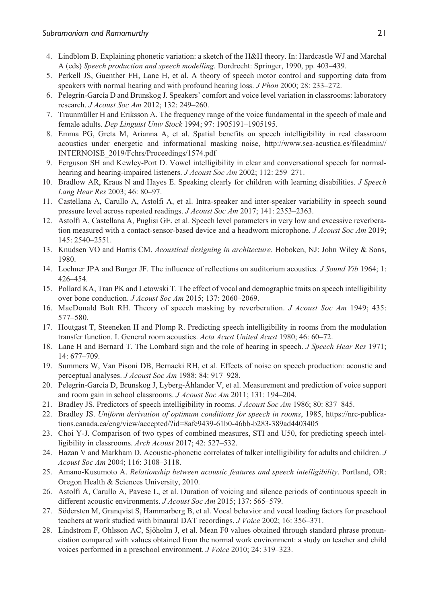- 4. Lindblom B. Explaining phonetic variation: a sketch of the H&H theory. In: Hardcastle WJ and Marchal A (eds) *Speech production and speech modelling*. Dordrecht: Springer, 1990, pp. 403–439.
- 5. Perkell JS, Guenther FH, Lane H, et al. A theory of speech motor control and supporting data from speakers with normal hearing and with profound hearing loss. *J Phon* 2000; 28: 233–272.
- 6. Pelegrín-García D and Brunskog J. Speakers' comfort and voice level variation in classrooms: laboratory research. *J Acoust Soc Am* 2012; 132: 249–260.
- 7. Traunmüller H and Eriksson A. The frequency range of the voice fundamental in the speech of male and female adults. *Dep Linguist Univ Stock* 1994; 97: 1905191–1905195.
- 8. Emma PG, Greta M, Arianna A, et al. Spatial benefits on speech intelligibility in real classroom acoustics under energetic and informational masking noise, http://www.sea-acustica.es/fileadmin// INTERNOISE\_2019/Fchrs/Proceedings/1574.pdf
- 9. Ferguson SH and Kewley-Port D. Vowel intelligibility in clear and conversational speech for normalhearing and hearing-impaired listeners. *J Acoust Soc Am* 2002; 112: 259–271.
- 10. Bradlow AR, Kraus N and Hayes E. Speaking clearly for children with learning disabilities. *J Speech Lang Hear Res* 2003; 46: 80–97.
- 11. Castellana A, Carullo A, Astolfi A, et al. Intra-speaker and inter-speaker variability in speech sound pressure level across repeated readings. *J Acoust Soc Am* 2017; 141: 2353–2363.
- 12. Astolfi A, Castellana A, Puglisi GE, et al. Speech level parameters in very low and excessive reverberation measured with a contact-sensor-based device and a headworn microphone. *J Acoust Soc Am* 2019; 145: 2540–2551.
- 13. Knudsen VO and Harris CM. *Acoustical designing in architecture*. Hoboken, NJ: John Wiley & Sons, 1980.
- 14. Lochner JPA and Burger JF. The influence of reflections on auditorium acoustics. *J Sound Vib* 1964; 1: 426–454.
- 15. Pollard KA, Tran PK and Letowski T. The effect of vocal and demographic traits on speech intelligibility over bone conduction. *J Acoust Soc Am* 2015; 137: 2060–2069.
- 16. MacDonald Bolt RH. Theory of speech masking by reverberation. *J Acoust Soc Am* 1949; 435: 577–580.
- 17. Houtgast T, Steeneken H and Plomp R. Predicting speech intelligibility in rooms from the modulation transfer function. I. General room acoustics. *Acta Acust United Acust* 1980; 46: 60–72.
- 18. Lane H and Bernard T. The Lombard sign and the role of hearing in speech. *J Speech Hear Res* 1971; 14: 677–709.
- 19. Summers W, Van Pisoni DB, Bernacki RH, et al. Effects of noise on speech production: acoustic and perceptual analyses. *J Acoust Soc Am* 1988; 84: 917–928.
- 20. Pelegrín-García D, Brunskog J, Lyberg-Åhlander V, et al. Measurement and prediction of voice support and room gain in school classrooms. *J Acoust Soc Am* 2011; 131: 194–204.
- 21. Bradley JS. Predictors of speech intelligibility in rooms. *J Acoust Soc Am* 1986; 80: 837–845.
- 22. Bradley JS. *Uniform derivation of optimum conditions for speech in rooms*, 1985, https://nrc-publications.canada.ca/eng/view/accepted/?id=8afe9439-61b0-46bb-b283-389ad4403405
- 23. Choi Y-J. Comparison of two types of combined measures, STI and U50, for predicting speech intelligibility in classrooms. *Arch Acoust* 2017; 42: 527–532.
- 24. Hazan V and Markham D. Acoustic-phonetic correlates of talker intelligibility for adults and children. *J Acoust Soc Am* 2004; 116: 3108–3118.
- 25. Amano-Kusumoto A. *Relationship between acoustic features and speech intelligibility*. Portland, OR: Oregon Health & Sciences University, 2010.
- 26. Astolfi A, Carullo A, Pavese L, et al. Duration of voicing and silence periods of continuous speech in different acoustic environments. *J Acoust Soc Am* 2015; 137: 565–579.
- 27. Södersten M, Granqvist S, Hammarberg B, et al. Vocal behavior and vocal loading factors for preschool teachers at work studied with binaural DAT recordings. *J Voice* 2002; 16: 356–371.
- 28. Lindstrom F, Ohlsson AC, Sjöholm J, et al. Mean F0 values obtained through standard phrase pronunciation compared with values obtained from the normal work environment: a study on teacher and child voices performed in a preschool environment. *J Voice* 2010; 24: 319–323.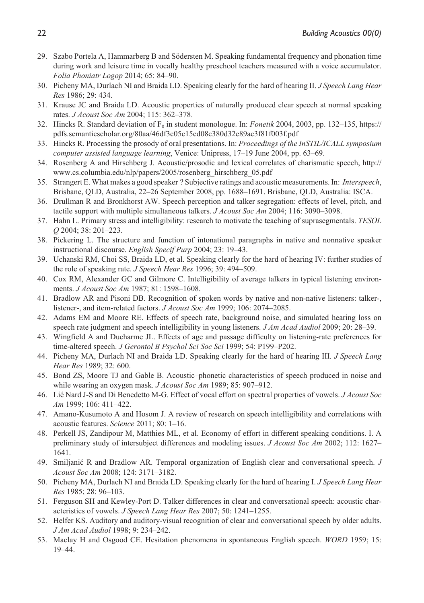- 29. Szabo Portela A, Hammarberg B and Södersten M. Speaking fundamental frequency and phonation time during work and leisure time in vocally healthy preschool teachers measured with a voice accumulator. *Folia Phoniatr Logop* 2014; 65: 84–90.
- 30. Picheny MA, Durlach NI and Braida LD. Speaking clearly for the hard of hearing II. *J Speech Lang Hear Res* 1986; 29: 434.
- 31. Krause JC and Braida LD. Acoustic properties of naturally produced clear speech at normal speaking rates. *J Acoust Soc Am* 2004; 115: 362–378.
- 32. Hincks R. Standard deviation of  $F_0$  in student monologue. In: *Fonetik* 2004, 2003, pp. 132–135, https:// pdfs.semanticscholar.org/80aa/46df3c05c15ed08c380d32e89ac3f81f003f.pdf
- 33. Hincks R. Processing the prosody of oral presentations. In: *Proceedings of the InSTIL/ICALL symposium computer assisted language learning*, Venice: Unipress, 17–19 June 2004, pp. 63–69.
- 34. Rosenberg A and Hirschberg J. Acoustic/prosodic and lexical correlates of charismatic speech, http:// www.cs.columbia.edu/nlp/papers/2005/rosenberg\_hirschberg\_05.pdf
- 35. Strangert E. What makes a good speaker ? Subjective ratings and acoustic measurements. In: *Interspeech*, Brisbane, QLD, Australia, 22–26 September 2008, pp. 1688–1691. Brisbane, QLD, Australia: ISCA.
- 36. Drullman R and Bronkhorst AW. Speech perception and talker segregation: effects of level, pitch, and tactile support with multiple simultaneous talkers. *J Acoust Soc Am* 2004; 116: 3090–3098.
- 37. Hahn L. Primary stress and intelligibility: research to motivate the teaching of suprasegmentals. *TESOL Q* 2004; 38: 201–223.
- 38. Pickering L. The structure and function of intonational paragraphs in native and nonnative speaker instructional discourse. *English Specif Purp* 2004; 23: 19–43.
- 39. Uchanski RM, Choi SS, Braida LD, et al. Speaking clearly for the hard of hearing IV: further studies of the role of speaking rate. *J Speech Hear Res* 1996; 39: 494–509.
- 40. Cox RM, Alexander GC and Gilmore C. Intelligibility of average talkers in typical listening environments. *J Acoust Soc Am* 1987; 81: 1598–1608.
- 41. Bradlow AR and Pisoni DB. Recognition of spoken words by native and non-native listeners: talker-, listener-, and item-related factors. *J Acoust Soc Am* 1999; 106: 2074–2085.
- 42. Adams EM and Moore RE. Effects of speech rate, background noise, and simulated hearing loss on speech rate judgment and speech intelligibility in young listeners. *J Am Acad Audiol* 2009; 20: 28–39.
- 43. Wingfield A and Ducharme JL. Effects of age and passage difficulty on listening-rate preferences for time-altered speech. *J Gerontol B Psychol Sci Soc Sci* 1999; 54: P199–P202.
- 44. Picheny MA, Durlach NI and Braida LD. Speaking clearly for the hard of hearing III. *J Speech Lang Hear Res* 1989; 32: 600.
- 45. Bond ZS, Moore TJ and Gable B. Acoustic–phonetic characteristics of speech produced in noise and while wearing an oxygen mask. *J Acoust Soc Am* 1989; 85: 907–912.
- 46. Lié Nard J-S and Di Benedetto M-G. Effect of vocal effort on spectral properties of vowels. *J Acoust Soc Am* 1999; 106: 411–422.
- 47. Amano-Kusumoto A and Hosom J. A review of research on speech intelligibility and correlations with acoustic features. *Science* 2011; 80: 1–16.
- 48. Perkell JS, Zandipour M, Matthies ML, et al. Economy of effort in different speaking conditions. I. A preliminary study of intersubject differences and modeling issues. *J Acoust Soc Am* 2002; 112: 1627– 1641.
- 49. Smiljanić R and Bradlow AR. Temporal organization of English clear and conversational speech. *J Acoust Soc Am* 2008; 124: 3171–3182.
- 50. Picheny MA, Durlach NI and Braida LD. Speaking clearly for the hard of hearing I. *J Speech Lang Hear Res* 1985; 28: 96–103.
- 51. Ferguson SH and Kewley-Port D. Talker differences in clear and conversational speech: acoustic characteristics of vowels. *J Speech Lang Hear Res* 2007; 50: 1241–1255.
- 52. Helfer KS. Auditory and auditory-visual recognition of clear and conversational speech by older adults. *J Am Acad Audiol* 1998; 9: 234–242.
- 53. Maclay H and Osgood CE. Hesitation phenomena in spontaneous English speech. *WORD* 1959; 15: 19–44.